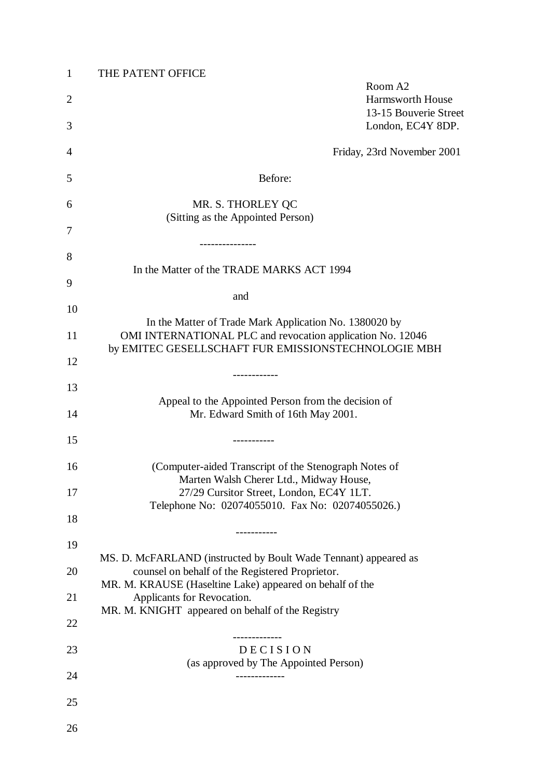| $\mathbf{1}$   | THE PATENT OFFICE                                                                                                    |
|----------------|----------------------------------------------------------------------------------------------------------------------|
| $\overline{2}$ | Room A2<br>Harmsworth House<br>13-15 Bouverie Street                                                                 |
| 3              | London, EC4Y 8DP.                                                                                                    |
| 4              | Friday, 23rd November 2001                                                                                           |
| 5              | Before:                                                                                                              |
| 6              | MR. S. THORLEY QC                                                                                                    |
| 7              | (Sitting as the Appointed Person)                                                                                    |
| 8              | ---------------                                                                                                      |
| 9              | In the Matter of the TRADE MARKS ACT 1994                                                                            |
| 10             | and                                                                                                                  |
| 11             | In the Matter of Trade Mark Application No. 1380020 by<br>OMI INTERNATIONAL PLC and revocation application No. 12046 |
| 12             | by EMITEC GESELLSCHAFT FUR EMISSIONSTECHNOLOGIE MBH                                                                  |
| 13             | -----------                                                                                                          |
| 14             | Appeal to the Appointed Person from the decision of<br>Mr. Edward Smith of 16th May 2001.                            |
| 15             | ----------                                                                                                           |
| 16             | (Computer-aided Transcript of the Stenograph Notes of                                                                |
| 17             | Marten Walsh Cherer Ltd., Midway House,<br>27/29 Cursitor Street, London, EC4Y 1LT.                                  |
| 18             | Telephone No: 02074055010. Fax No: 02074055026.)                                                                     |
| 19             | . _ _ _ _ _ _ _ _ _ _                                                                                                |
| 20             | MS. D. McFARLAND (instructed by Boult Wade Tennant) appeared as<br>counsel on behalf of the Registered Proprietor.   |
| 21             | MR. M. KRAUSE (Haseltine Lake) appeared on behalf of the<br>Applicants for Revocation.                               |
| 22             | MR. M. KNIGHT appeared on behalf of the Registry                                                                     |
| 23             | . _ _ _ _ _ _ _ _ _ _ _ _<br><b>DECISION</b>                                                                         |
| 24             | (as approved by The Appointed Person)<br>-------------                                                               |
| 25             |                                                                                                                      |
|                |                                                                                                                      |
| 26             |                                                                                                                      |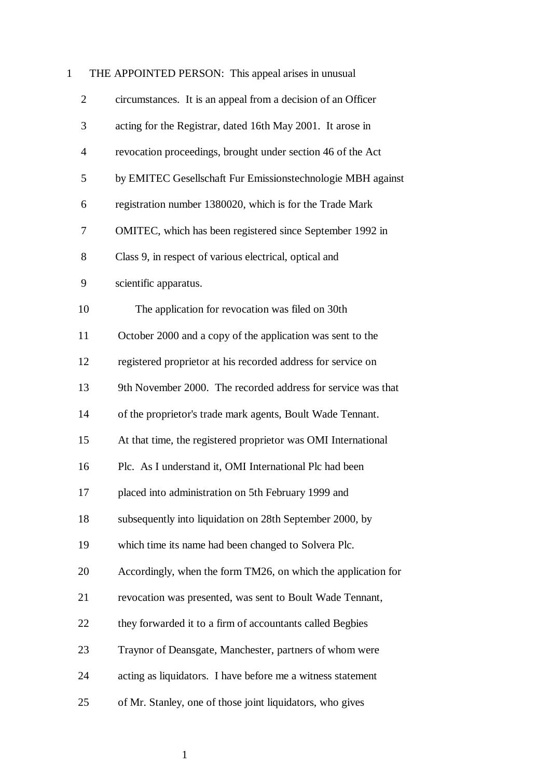## 1 THE APPOINTED PERSON: This appeal arises in unusual

| $\overline{2}$ | circumstances. It is an appeal from a decision of an Officer  |
|----------------|---------------------------------------------------------------|
| 3              | acting for the Registrar, dated 16th May 2001. It arose in    |
| $\overline{4}$ | revocation proceedings, brought under section 46 of the Act   |
| 5              | by EMITEC Gesellschaft Fur Emissionstechnologie MBH against   |
| 6              | registration number 1380020, which is for the Trade Mark      |
| 7              | OMITEC, which has been registered since September 1992 in     |
| 8              | Class 9, in respect of various electrical, optical and        |
| 9              | scientific apparatus.                                         |
| 10             | The application for revocation was filed on 30th              |
| 11             | October 2000 and a copy of the application was sent to the    |
| 12             | registered proprietor at his recorded address for service on  |
| 13             | 9th November 2000. The recorded address for service was that  |
| 14             | of the proprietor's trade mark agents, Boult Wade Tennant.    |
| 15             | At that time, the registered proprietor was OMI International |
| 16             | Plc. As I understand it, OMI International Plc had been       |
| 17             | placed into administration on 5th February 1999 and           |
| 18             | subsequently into liquidation on 28th September 2000, by      |
| 19             | which time its name had been changed to Solvera Plc.          |
| 20             | Accordingly, when the form TM26, on which the application for |
| 21             | revocation was presented, was sent to Boult Wade Tennant,     |
| 22             | they forwarded it to a firm of accountants called Begbies     |
| 23             | Traynor of Deansgate, Manchester, partners of whom were       |
| 24             | acting as liquidators. I have before me a witness statement   |
| 25             | of Mr. Stanley, one of those joint liquidators, who gives     |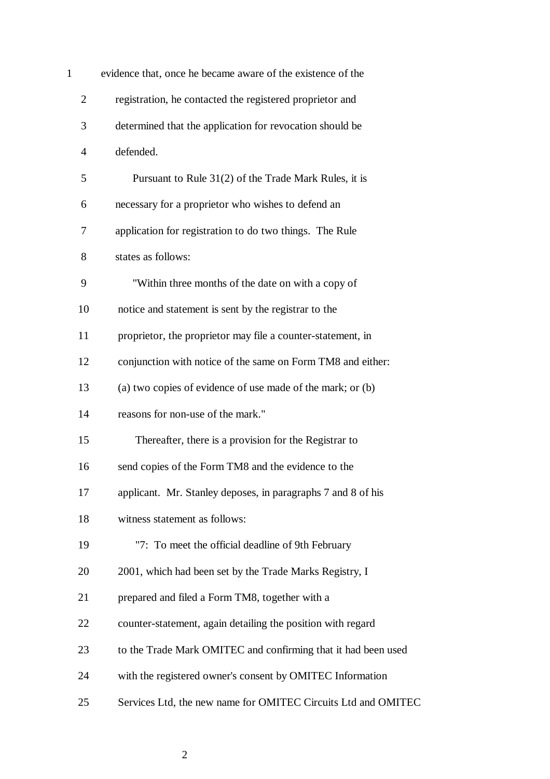| $\mathbf{1}$   | evidence that, once he became aware of the existence of the   |
|----------------|---------------------------------------------------------------|
| $\overline{2}$ | registration, he contacted the registered proprietor and      |
| 3              | determined that the application for revocation should be      |
| $\overline{4}$ | defended.                                                     |
| 5              | Pursuant to Rule 31(2) of the Trade Mark Rules, it is         |
| 6              | necessary for a proprietor who wishes to defend an            |
| 7              | application for registration to do two things. The Rule       |
| 8              | states as follows:                                            |
| 9              | "Within three months of the date on with a copy of            |
| 10             | notice and statement is sent by the registrar to the          |
| 11             | proprietor, the proprietor may file a counter-statement, in   |
| 12             | conjunction with notice of the same on Form TM8 and either:   |
| 13             | (a) two copies of evidence of use made of the mark; or (b)    |
| 14             | reasons for non-use of the mark."                             |
| 15             | Thereafter, there is a provision for the Registrar to         |
| 16             | send copies of the Form TM8 and the evidence to the           |
| 17             | applicant. Mr. Stanley deposes, in paragraphs 7 and 8 of his  |
| 18             | witness statement as follows:                                 |
| 19             | "7: To meet the official deadline of 9th February             |
| 20             | 2001, which had been set by the Trade Marks Registry, I       |
| 21             | prepared and filed a Form TM8, together with a                |
| 22             | counter-statement, again detailing the position with regard   |
| 23             | to the Trade Mark OMITEC and confirming that it had been used |
| 24             | with the registered owner's consent by OMITEC Information     |
| 25             | Services Ltd, the new name for OMITEC Circuits Ltd and OMITEC |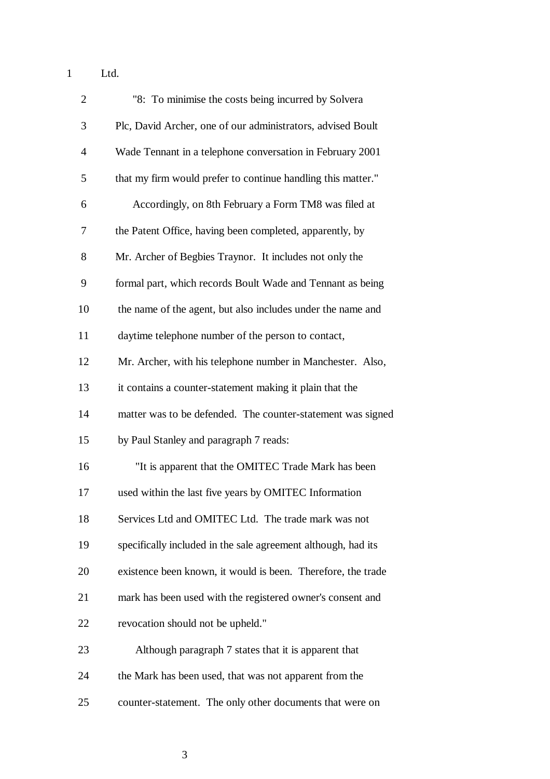1 Ltd.

| $\overline{2}$ | "8: To minimise the costs being incurred by Solvera           |
|----------------|---------------------------------------------------------------|
| 3              | Plc, David Archer, one of our administrators, advised Boult   |
| $\overline{4}$ | Wade Tennant in a telephone conversation in February 2001     |
| 5              | that my firm would prefer to continue handling this matter."  |
| 6              | Accordingly, on 8th February a Form TM8 was filed at          |
| 7              | the Patent Office, having been completed, apparently, by      |
| 8              | Mr. Archer of Begbies Traynor. It includes not only the       |
| 9              | formal part, which records Boult Wade and Tennant as being    |
| 10             | the name of the agent, but also includes under the name and   |
| 11             | daytime telephone number of the person to contact,            |
| 12             | Mr. Archer, with his telephone number in Manchester. Also,    |
| 13             | it contains a counter-statement making it plain that the      |
| 14             | matter was to be defended. The counter-statement was signed   |
| 15             | by Paul Stanley and paragraph 7 reads:                        |
| 16             | "It is apparent that the OMITEC Trade Mark has been           |
| 17             | used within the last five years by OMITEC Information         |
| 18             | Services Ltd and OMITEC Ltd. The trade mark was not           |
| 19             | specifically included in the sale agreement although, had its |
| 20             | existence been known, it would is been. Therefore, the trade  |
| 21             | mark has been used with the registered owner's consent and    |
| 22             | revocation should not be upheld."                             |
| 23             | Although paragraph 7 states that it is apparent that          |
| 24             | the Mark has been used, that was not apparent from the        |
| 25             | counter-statement. The only other documents that were on      |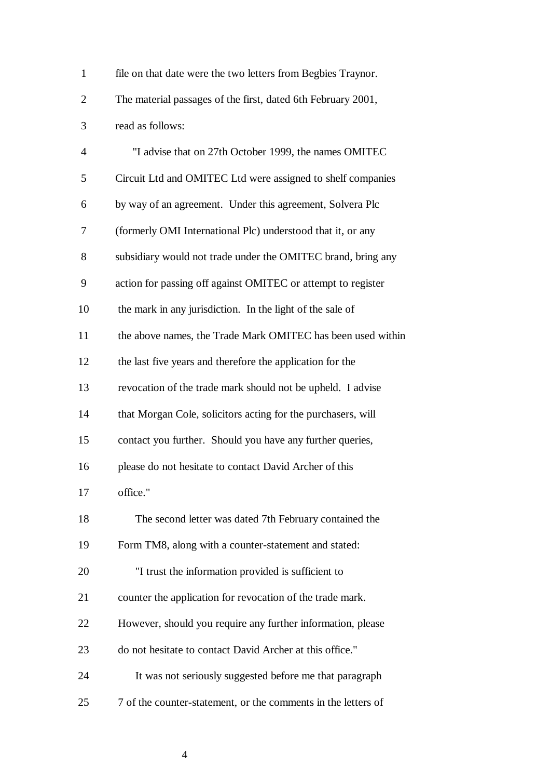| $\mathbf{1}$   | file on that date were the two letters from Begbies Traynor.  |
|----------------|---------------------------------------------------------------|
| $\overline{2}$ | The material passages of the first, dated 6th February 2001,  |
| 3              | read as follows:                                              |
| $\overline{4}$ | "I advise that on 27th October 1999, the names OMITEC         |
| 5              | Circuit Ltd and OMITEC Ltd were assigned to shelf companies   |
| 6              | by way of an agreement. Under this agreement, Solvera Plc     |
| 7              | (formerly OMI International Plc) understood that it, or any   |
| 8              | subsidiary would not trade under the OMITEC brand, bring any  |
| 9              | action for passing off against OMITEC or attempt to register  |
| 10             | the mark in any jurisdiction. In the light of the sale of     |
| 11             | the above names, the Trade Mark OMITEC has been used within   |
| 12             | the last five years and therefore the application for the     |
| 13             | revocation of the trade mark should not be upheld. I advise   |
| 14             | that Morgan Cole, solicitors acting for the purchasers, will  |
| 15             | contact you further. Should you have any further queries,     |
| 16             | please do not hesitate to contact David Archer of this        |
| 17             | office."                                                      |
| 18             | The second letter was dated 7th February contained the        |
| 19             | Form TM8, along with a counter-statement and stated:          |
| 20             | "I trust the information provided is sufficient to            |
| 21             | counter the application for revocation of the trade mark.     |
| 22             | However, should you require any further information, please   |
| 23             | do not hesitate to contact David Archer at this office."      |
| 24             | It was not seriously suggested before me that paragraph       |
| 25             | 7 of the counter-statement, or the comments in the letters of |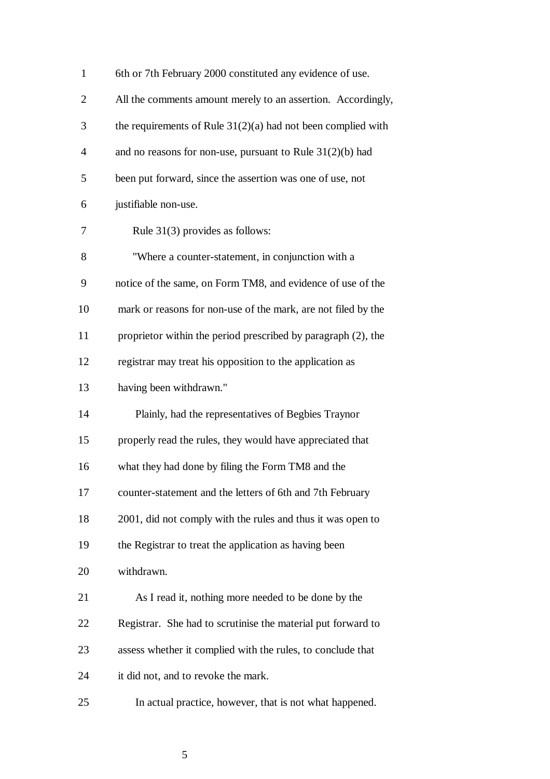| $\mathbf{1}$   | 6th or 7th February 2000 constituted any evidence of use.      |
|----------------|----------------------------------------------------------------|
| $\mathbf{2}$   | All the comments amount merely to an assertion. Accordingly,   |
| 3              | the requirements of Rule $31(2)(a)$ had not been complied with |
| $\overline{4}$ | and no reasons for non-use, pursuant to Rule $31(2)(b)$ had    |
| 5              | been put forward, since the assertion was one of use, not      |
| 6              | justifiable non-use.                                           |
| 7              | Rule $31(3)$ provides as follows:                              |
| 8              | "Where a counter-statement, in conjunction with a              |
| 9              | notice of the same, on Form TM8, and evidence of use of the    |
| 10             | mark or reasons for non-use of the mark, are not filed by the  |
| 11             | proprietor within the period prescribed by paragraph (2), the  |
| 12             | registrar may treat his opposition to the application as       |
| 13             | having been withdrawn."                                        |
| 14             | Plainly, had the representatives of Begbies Traynor            |
| 15             | properly read the rules, they would have appreciated that      |
| 16             | what they had done by filing the Form TM8 and the              |
| 17             | counter-statement and the letters of 6th and 7th February      |
| 18             | 2001, did not comply with the rules and thus it was open to    |
| 19             | the Registrar to treat the application as having been          |
| 20             | withdrawn.                                                     |
| 21             | As I read it, nothing more needed to be done by the            |
| 22             | Registrar. She had to scrutinise the material put forward to   |
| 23             | assess whether it complied with the rules, to conclude that    |
| 24             | it did not, and to revoke the mark.                            |
| 25             | In actual practice, however, that is not what happened.        |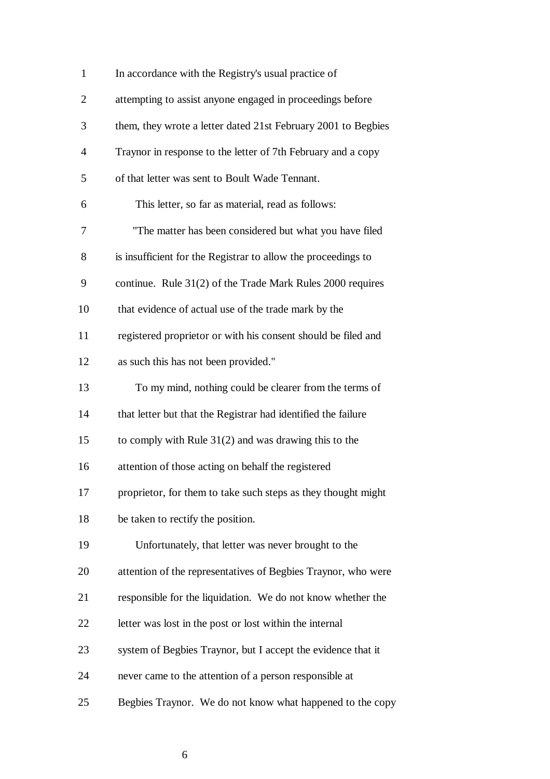| $\mathbf{1}$   | In accordance with the Registry's usual practice of           |
|----------------|---------------------------------------------------------------|
| $\overline{2}$ | attempting to assist anyone engaged in proceedings before     |
| 3              | them, they wrote a letter dated 21st February 2001 to Begbies |
| $\overline{4}$ | Traynor in response to the letter of 7th February and a copy  |
| 5              | of that letter was sent to Boult Wade Tennant.                |
| 6              | This letter, so far as material, read as follows:             |
| 7              | "The matter has been considered but what you have filed       |
| 8              | is insufficient for the Registrar to allow the proceedings to |
| 9              | continue. Rule 31(2) of the Trade Mark Rules 2000 requires    |
| 10             | that evidence of actual use of the trade mark by the          |
| 11             | registered proprietor or with his consent should be filed and |
| 12             | as such this has not been provided."                          |
| 13             | To my mind, nothing could be clearer from the terms of        |
| 14             | that letter but that the Registrar had identified the failure |
| 15             | to comply with Rule $31(2)$ and was drawing this to the       |
| 16             | attention of those acting on behalf the registered            |
| 17             | proprietor, for them to take such steps as they thought might |
| 18             | be taken to rectify the position.                             |
| 19             | Unfortunately, that letter was never brought to the           |
| 20             | attention of the representatives of Begbies Traynor, who were |
| 21             | responsible for the liquidation. We do not know whether the   |
| 22             | letter was lost in the post or lost within the internal       |
| 23             | system of Begbies Traynor, but I accept the evidence that it  |
| 24             | never came to the attention of a person responsible at        |
| 25             | Begbies Traynor. We do not know what happened to the copy     |

 $\sim$  6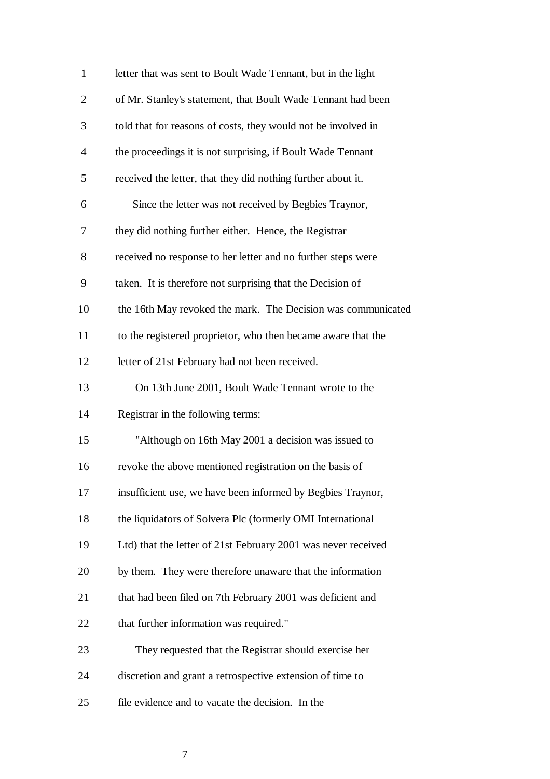| $\mathbf{1}$   | letter that was sent to Boult Wade Tennant, but in the light  |
|----------------|---------------------------------------------------------------|
| $\overline{2}$ | of Mr. Stanley's statement, that Boult Wade Tennant had been  |
| 3              | told that for reasons of costs, they would not be involved in |
| $\overline{4}$ | the proceedings it is not surprising, if Boult Wade Tennant   |
| 5              | received the letter, that they did nothing further about it.  |
| 6              | Since the letter was not received by Begbies Traynor,         |
| 7              | they did nothing further either. Hence, the Registrar         |
| 8              | received no response to her letter and no further steps were  |
| 9              | taken. It is therefore not surprising that the Decision of    |
| 10             | the 16th May revoked the mark. The Decision was communicated  |
| 11             | to the registered proprietor, who then became aware that the  |
| 12             | letter of 21st February had not been received.                |
| 13             | On 13th June 2001, Boult Wade Tennant wrote to the            |
| 14             | Registrar in the following terms:                             |
| 15             | "Although on 16th May 2001 a decision was issued to           |
| 16             | revoke the above mentioned registration on the basis of       |
| 17             | insufficient use, we have been informed by Begbies Traynor,   |
| 18             | the liquidators of Solvera Plc (formerly OMI International    |
| 19             | Ltd) that the letter of 21st February 2001 was never received |
| 20             | by them. They were therefore unaware that the information     |
| 21             | that had been filed on 7th February 2001 was deficient and    |
| 22             | that further information was required."                       |
| 23             | They requested that the Registrar should exercise her         |
| 24             | discretion and grant a retrospective extension of time to     |
| 25             | file evidence and to vacate the decision. In the              |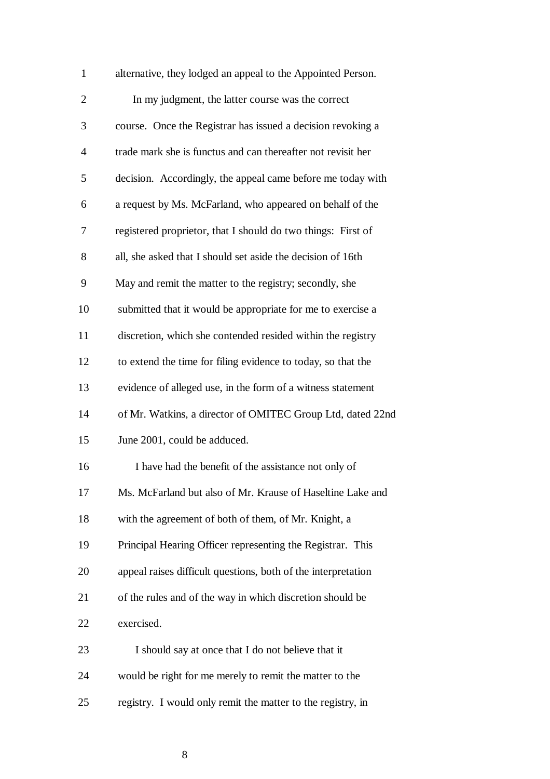| $\mathbf{1}$   | alternative, they lodged an appeal to the Appointed Person.   |
|----------------|---------------------------------------------------------------|
| $\mathfrak{2}$ | In my judgment, the latter course was the correct             |
| 3              | course. Once the Registrar has issued a decision revoking a   |
| $\overline{4}$ | trade mark she is functus and can thereafter not revisit her  |
| 5              | decision. Accordingly, the appeal came before me today with   |
| 6              | a request by Ms. McFarland, who appeared on behalf of the     |
| 7              | registered proprietor, that I should do two things: First of  |
| 8              | all, she asked that I should set aside the decision of 16th   |
| 9              | May and remit the matter to the registry; secondly, she       |
| 10             | submitted that it would be appropriate for me to exercise a   |
| 11             | discretion, which she contended resided within the registry   |
| 12             | to extend the time for filing evidence to today, so that the  |
| 13             | evidence of alleged use, in the form of a witness statement   |
| 14             | of Mr. Watkins, a director of OMITEC Group Ltd, dated 22nd    |
| 15             | June 2001, could be adduced.                                  |
| 16             | I have had the benefit of the assistance not only of          |
| 17             | Ms. McFarland but also of Mr. Krause of Haseltine Lake and    |
| 18             | with the agreement of both of them, of Mr. Knight, a          |
| 19             | Principal Hearing Officer representing the Registrar. This    |
| 20             | appeal raises difficult questions, both of the interpretation |
| 21             | of the rules and of the way in which discretion should be     |
| 22             | exercised.                                                    |
| 23             | I should say at once that I do not believe that it            |
| 24             | would be right for me merely to remit the matter to the       |
| 25             | registry. I would only remit the matter to the registry, in   |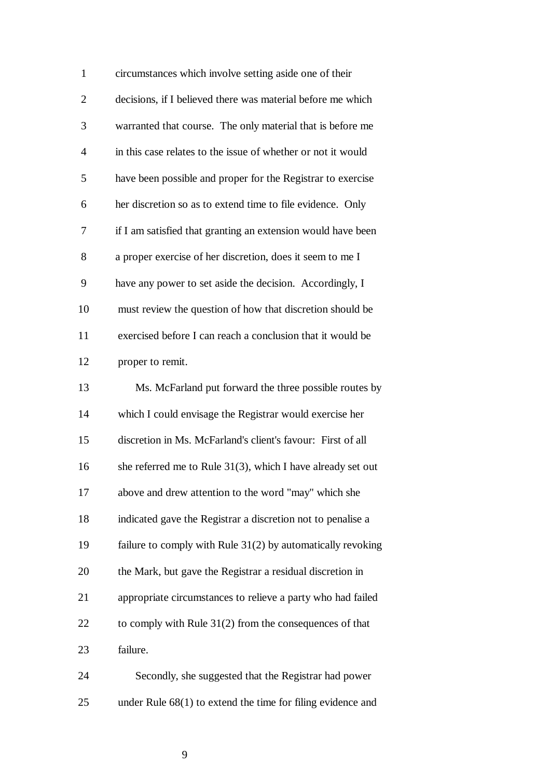| $\mathbf{1}$   | circumstances which involve setting aside one of their         |
|----------------|----------------------------------------------------------------|
| $\overline{c}$ | decisions, if I believed there was material before me which    |
| 3              | warranted that course. The only material that is before me     |
| $\overline{4}$ | in this case relates to the issue of whether or not it would   |
| 5              | have been possible and proper for the Registrar to exercise    |
| 6              | her discretion so as to extend time to file evidence. Only     |
| 7              | if I am satisfied that granting an extension would have been   |
| 8              | a proper exercise of her discretion, does it seem to me I      |
| 9              | have any power to set aside the decision. Accordingly, I       |
| 10             | must review the question of how that discretion should be      |
| 11             | exercised before I can reach a conclusion that it would be     |
| 12             | proper to remit.                                               |
| 13             | Ms. McFarland put forward the three possible routes by         |
| 14             | which I could envisage the Registrar would exercise her        |
| 15             | discretion in Ms. McFarland's client's favour: First of all    |
| 16             | she referred me to Rule $31(3)$ , which I have already set out |
| 17             | above and drew attention to the word "may" which she           |
| 18             | indicated gave the Registrar a discretion not to penalise a    |
|                |                                                                |
| 19             | failure to comply with Rule $31(2)$ by automatically revoking  |
| 20             | the Mark, but gave the Registrar a residual discretion in      |
| 21             | appropriate circumstances to relieve a party who had failed    |
| 22             | to comply with Rule $31(2)$ from the consequences of that      |
| 23             | failure.                                                       |

25 under Rule 68(1) to extend the time for filing evidence and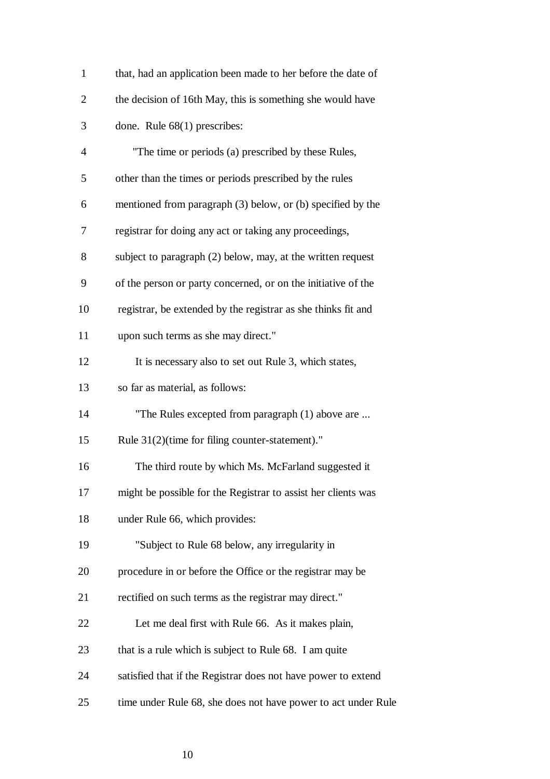| $\mathbf{1}$   | that, had an application been made to her before the date of  |
|----------------|---------------------------------------------------------------|
| $\overline{2}$ | the decision of 16th May, this is something she would have    |
| 3              | done. Rule $68(1)$ prescribes:                                |
| $\overline{4}$ | "The time or periods (a) prescribed by these Rules,           |
| 5              | other than the times or periods prescribed by the rules       |
| 6              | mentioned from paragraph (3) below, or (b) specified by the   |
| 7              | registrar for doing any act or taking any proceedings,        |
| 8              | subject to paragraph (2) below, may, at the written request   |
| 9              | of the person or party concerned, or on the initiative of the |
| 10             | registrar, be extended by the registrar as she thinks fit and |
| 11             | upon such terms as she may direct."                           |
| 12             | It is necessary also to set out Rule 3, which states,         |
| 13             | so far as material, as follows:                               |
| 14             | "The Rules excepted from paragraph (1) above are              |
| 15             | Rule 31(2)(time for filing counter-statement)."               |
| 16             | The third route by which Ms. McFarland suggested it           |
| 17             | might be possible for the Registrar to assist her clients was |
| 18             | under Rule 66, which provides:                                |
| 19             | "Subject to Rule 68 below, any irregularity in                |
| 20             | procedure in or before the Office or the registrar may be     |
| 21             | rectified on such terms as the registrar may direct."         |
| 22             | Let me deal first with Rule 66. As it makes plain,            |
| 23             | that is a rule which is subject to Rule 68. I am quite        |
| 24             | satisfied that if the Registrar does not have power to extend |
| 25             | time under Rule 68, she does not have power to act under Rule |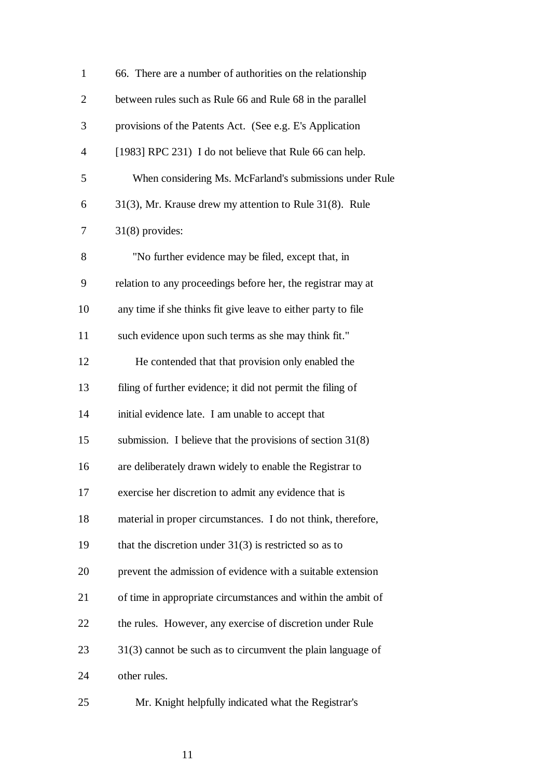| $\mathbf{1}$   | 66. There are a number of authorities on the relationship     |
|----------------|---------------------------------------------------------------|
| $\overline{2}$ | between rules such as Rule 66 and Rule 68 in the parallel     |
| 3              | provisions of the Patents Act. (See e.g. E's Application      |
| $\overline{4}$ | [1983] RPC 231) I do not believe that Rule 66 can help.       |
| 5              | When considering Ms. McFarland's submissions under Rule       |
| 6              | 31(3), Mr. Krause drew my attention to Rule 31(8). Rule       |
| 7              | $31(8)$ provides:                                             |
| 8              | "No further evidence may be filed, except that, in            |
| 9              | relation to any proceedings before her, the registrar may at  |
| 10             | any time if she thinks fit give leave to either party to file |
| 11             | such evidence upon such terms as she may think fit."          |
| 12             | He contended that that provision only enabled the             |
| 13             | filing of further evidence; it did not permit the filing of   |
| 14             | initial evidence late. I am unable to accept that             |
| 15             | submission. I believe that the provisions of section $31(8)$  |
| 16             | are deliberately drawn widely to enable the Registrar to      |
| 17             | exercise her discretion to admit any evidence that is         |
| 18             | material in proper circumstances. I do not think, therefore,  |
| 19             | that the discretion under $31(3)$ is restricted so as to      |
| 20             | prevent the admission of evidence with a suitable extension   |
| 21             | of time in appropriate circumstances and within the ambit of  |
| 22             | the rules. However, any exercise of discretion under Rule     |
| 23             | $31(3)$ cannot be such as to circumvent the plain language of |
| 24             | other rules.                                                  |
| 25             | Mr. Knight helpfully indicated what the Registrar's           |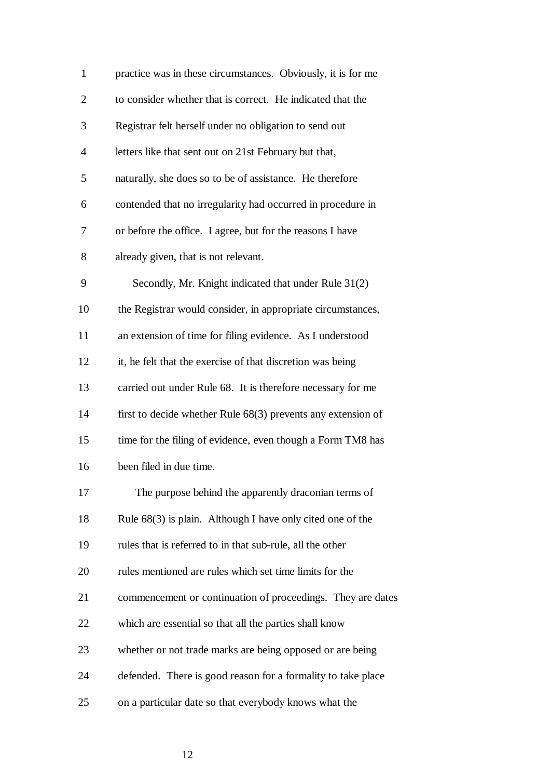| $\mathbf{1}$   | practice was in these circumstances. Obviously, it is for me   |
|----------------|----------------------------------------------------------------|
| $\overline{2}$ | to consider whether that is correct. He indicated that the     |
| 3              | Registrar felt herself under no obligation to send out         |
| $\overline{4}$ | letters like that sent out on 21st February but that,          |
| 5              | naturally, she does so to be of assistance. He therefore       |
| 6              | contended that no irregularity had occurred in procedure in    |
| 7              | or before the office. I agree, but for the reasons I have      |
| 8              | already given, that is not relevant.                           |
| 9              | Secondly, Mr. Knight indicated that under Rule 31(2)           |
| 10             | the Registrar would consider, in appropriate circumstances,    |
| 11             | an extension of time for filing evidence. As I understood      |
| 12             | it, he felt that the exercise of that discretion was being     |
| 13             | carried out under Rule 68. It is therefore necessary for me    |
| 14             | first to decide whether Rule $68(3)$ prevents any extension of |
| 15             | time for the filing of evidence, even though a Form TM8 has    |
| 16             | been filed in due time.                                        |
| 17             | The purpose behind the apparently draconian terms of           |
| 18             | Rule $68(3)$ is plain. Although I have only cited one of the   |
| 19             | rules that is referred to in that sub-rule, all the other      |
| 20             | rules mentioned are rules which set time limits for the        |
| 21             | commencement or continuation of proceedings. They are dates    |
| 22             | which are essential so that all the parties shall know         |
| 23             | whether or not trade marks are being opposed or are being      |
| 24             | defended. There is good reason for a formality to take place   |
| 25             | on a particular date so that everybody knows what the          |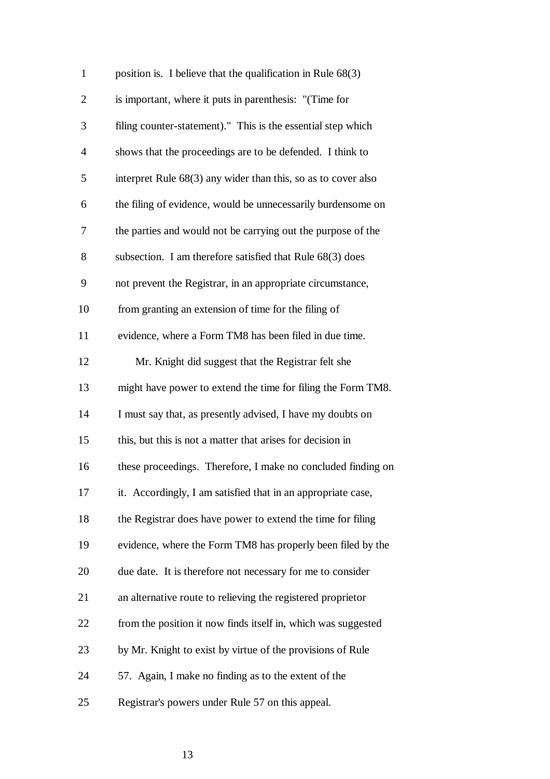| $\mathbf{1}$   | position is. I believe that the qualification in Rule $68(3)$ |
|----------------|---------------------------------------------------------------|
| $\overline{2}$ | is important, where it puts in parenthesis: "(Time for        |
| 3              | filing counter-statement)." This is the essential step which  |
| $\overline{4}$ | shows that the proceedings are to be defended. I think to     |
| 5              | interpret Rule 68(3) any wider than this, so as to cover also |
| 6              | the filing of evidence, would be unnecessarily burdensome on  |
| 7              | the parties and would not be carrying out the purpose of the  |
| 8              | subsection. I am therefore satisfied that Rule $68(3)$ does   |
| 9              | not prevent the Registrar, in an appropriate circumstance,    |
| 10             | from granting an extension of time for the filing of          |
| 11             | evidence, where a Form TM8 has been filed in due time.        |
| 12             | Mr. Knight did suggest that the Registrar felt she            |
| 13             | might have power to extend the time for filing the Form TM8.  |
| 14             | I must say that, as presently advised, I have my doubts on    |
| 15             | this, but this is not a matter that arises for decision in    |
| 16             | these proceedings. Therefore, I make no concluded finding on  |
| 17             | it. Accordingly, I am satisfied that in an appropriate case,  |
| 18             | the Registrar does have power to extend the time for filing   |
| 19             | evidence, where the Form TM8 has properly been filed by the   |
| 20             | due date. It is therefore not necessary for me to consider    |
| 21             | an alternative route to relieving the registered proprietor   |
| 22             | from the position it now finds itself in, which was suggested |
| 23             | by Mr. Knight to exist by virtue of the provisions of Rule    |
| 24             | 57. Again, I make no finding as to the extent of the          |
| 25             | Registrar's powers under Rule 57 on this appeal.              |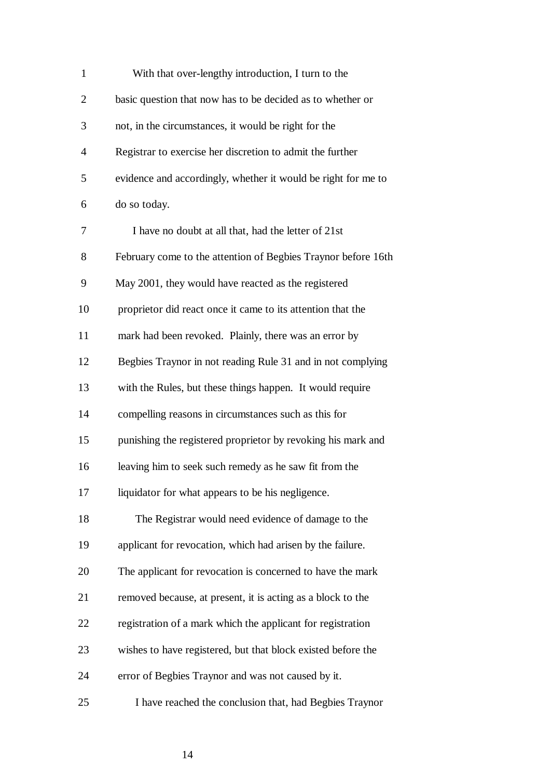| $\mathbf{1}$   | With that over-lengthy introduction, I turn to the            |
|----------------|---------------------------------------------------------------|
| $\overline{2}$ | basic question that now has to be decided as to whether or    |
| 3              | not, in the circumstances, it would be right for the          |
| $\overline{4}$ | Registrar to exercise her discretion to admit the further     |
| 5              | evidence and accordingly, whether it would be right for me to |
| 6              | do so today.                                                  |
| 7              | I have no doubt at all that, had the letter of 21st           |
| 8              | February come to the attention of Begbies Traynor before 16th |
| 9              | May 2001, they would have reacted as the registered           |
| 10             | proprietor did react once it came to its attention that the   |
| 11             | mark had been revoked. Plainly, there was an error by         |
| 12             | Begbies Traynor in not reading Rule 31 and in not complying   |
| 13             | with the Rules, but these things happen. It would require     |
| 14             | compelling reasons in circumstances such as this for          |
| 15             | punishing the registered proprietor by revoking his mark and  |
| 16             | leaving him to seek such remedy as he saw fit from the        |
| 17             | liquidator for what appears to be his negligence.             |
| 18             | The Registrar would need evidence of damage to the            |
| 19             | applicant for revocation, which had arisen by the failure.    |
| 20             | The applicant for revocation is concerned to have the mark    |
| 21             | removed because, at present, it is acting as a block to the   |
| 22             | registration of a mark which the applicant for registration   |
| 23             | wishes to have registered, but that block existed before the  |
| 24             | error of Begbies Traynor and was not caused by it.            |
| 25             | I have reached the conclusion that, had Begbies Traynor       |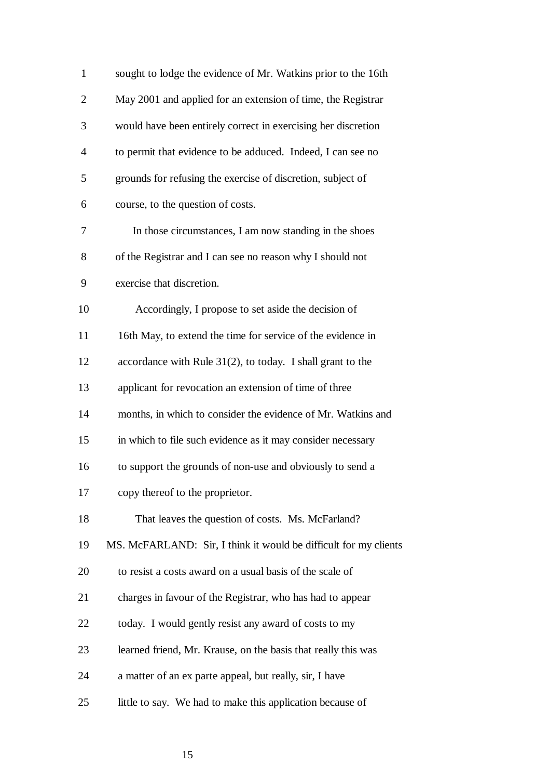| $\mathbf{1}$   | sought to lodge the evidence of Mr. Watkins prior to the 16th    |
|----------------|------------------------------------------------------------------|
| $\overline{2}$ | May 2001 and applied for an extension of time, the Registrar     |
| 3              | would have been entirely correct in exercising her discretion    |
| $\overline{4}$ | to permit that evidence to be adduced. Indeed, I can see no      |
| 5              | grounds for refusing the exercise of discretion, subject of      |
| 6              | course, to the question of costs.                                |
| 7              | In those circumstances, I am now standing in the shoes           |
| 8              | of the Registrar and I can see no reason why I should not        |
| 9              | exercise that discretion.                                        |
| 10             | Accordingly, I propose to set aside the decision of              |
| 11             | 16th May, to extend the time for service of the evidence in      |
| 12             | accordance with Rule $31(2)$ , to today. I shall grant to the    |
| 13             | applicant for revocation an extension of time of three           |
| 14             | months, in which to consider the evidence of Mr. Watkins and     |
| 15             | in which to file such evidence as it may consider necessary      |
| 16             | to support the grounds of non-use and obviously to send a        |
| 17             | copy thereof to the proprietor.                                  |
| 18             | That leaves the question of costs. Ms. McFarland?                |
| 19             | MS. McFARLAND: Sir, I think it would be difficult for my clients |
| 20             | to resist a costs award on a usual basis of the scale of         |
| 21             | charges in favour of the Registrar, who has had to appear        |
| 22             | today. I would gently resist any award of costs to my            |
| 23             | learned friend, Mr. Krause, on the basis that really this was    |
| 24             | a matter of an ex parte appeal, but really, sir, I have          |
| 25             | little to say. We had to make this application because of        |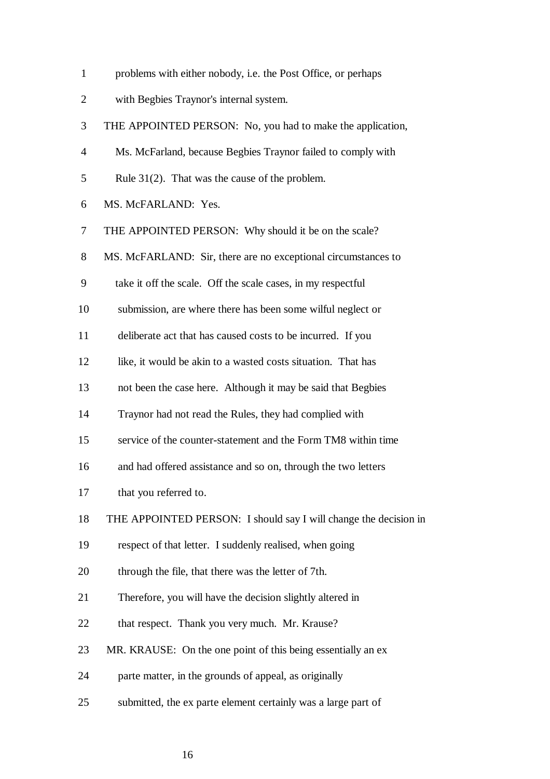|  |  | problems with either nobody, i.e. the Post Office, or perhaps |  |
|--|--|---------------------------------------------------------------|--|
|  |  |                                                               |  |

2 with Begbies Traynor's internal system.

|  |  | THE APPOINTED PERSON: No, you had to make the application, |  |  |
|--|--|------------------------------------------------------------|--|--|
|--|--|------------------------------------------------------------|--|--|

- 4 Ms. McFarland, because Begbies Traynor failed to comply with
- 5 Rule 31(2). That was the cause of the problem.
- 6 MS. McFARLAND: Yes.

7 THE APPOINTED PERSON: Why should it be on the scale?

- 8 MS. McFARLAND: Sir, there are no exceptional circumstances to
- 9 take it off the scale. Off the scale cases, in my respectful
- 10 submission, are where there has been some wilful neglect or
- 11 deliberate act that has caused costs to be incurred. If you
- 12 like, it would be akin to a wasted costs situation. That has
- 13 not been the case here. Although it may be said that Begbies
- 14 Traynor had not read the Rules, they had complied with
- 15 service of the counter-statement and the Form TM8 within time
- 16 and had offered assistance and so on, through the two letters
- 17 that you referred to.
- 18 THE APPOINTED PERSON: I should say I will change the decision in
- 19 respect of that letter. I suddenly realised, when going
- 20 through the file, that there was the letter of 7th.
- 21 Therefore, you will have the decision slightly altered in
- 22 that respect. Thank you very much. Mr. Krause?
- 23 MR. KRAUSE: On the one point of this being essentially an ex
- 24 parte matter, in the grounds of appeal, as originally
- 25 submitted, the ex parte element certainly was a large part of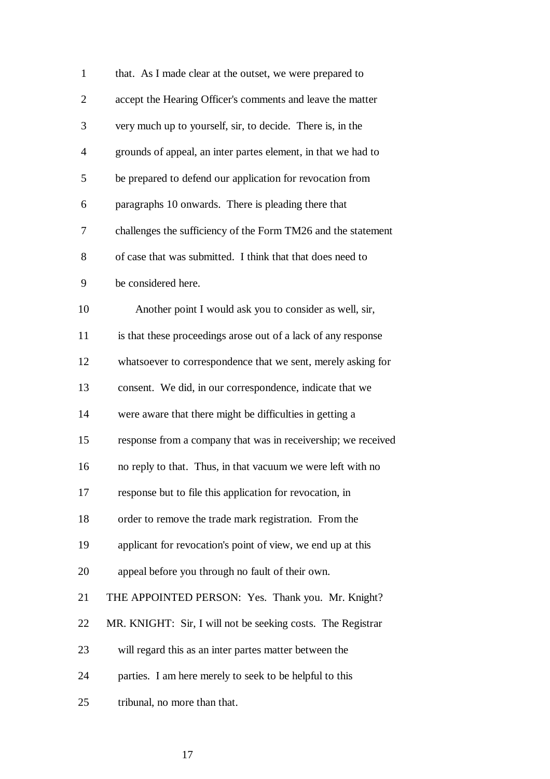| $\mathbf{1}$   | that. As I made clear at the outset, we were prepared to      |
|----------------|---------------------------------------------------------------|
| $\overline{2}$ | accept the Hearing Officer's comments and leave the matter    |
| 3              | very much up to yourself, sir, to decide. There is, in the    |
| $\overline{4}$ | grounds of appeal, an inter partes element, in that we had to |
| 5              | be prepared to defend our application for revocation from     |
| 6              | paragraphs 10 onwards. There is pleading there that           |
| 7              | challenges the sufficiency of the Form TM26 and the statement |
| 8              | of case that was submitted. I think that that does need to    |
| 9              | be considered here.                                           |
| 10             | Another point I would ask you to consider as well, sir,       |
| 11             | is that these proceedings arose out of a lack of any response |
| 12             | whatsoever to correspondence that we sent, merely asking for  |
| 13             | consent. We did, in our correspondence, indicate that we      |
| 14             | were aware that there might be difficulties in getting a      |
| 15             | response from a company that was in receivership; we received |
| 16             | no reply to that. Thus, in that vacuum we were left with no   |
| 17             | response but to file this application for revocation, in      |
| 18             | order to remove the trade mark registration. From the         |
| 19             | applicant for revocation's point of view, we end up at this   |
| 20             | appeal before you through no fault of their own.              |
| 21             | THE APPOINTED PERSON: Yes. Thank you. Mr. Knight?             |
| 22             | MR. KNIGHT: Sir, I will not be seeking costs. The Registrar   |
| 23             | will regard this as an inter partes matter between the        |
| 24             | parties. I am here merely to seek to be helpful to this       |
| 25             | tribunal, no more than that.                                  |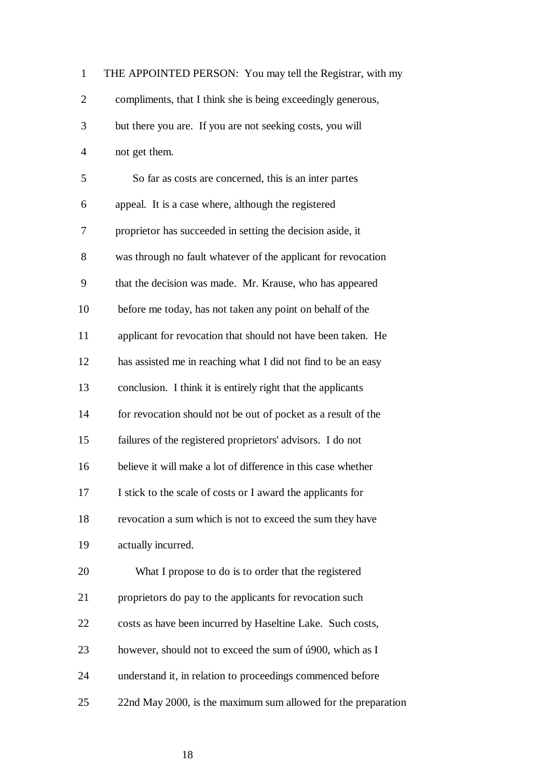| $\mathbf{1}$   | THE APPOINTED PERSON: You may tell the Registrar, with my      |
|----------------|----------------------------------------------------------------|
| $\overline{2}$ | compliments, that I think she is being exceedingly generous,   |
| $\mathfrak{Z}$ | but there you are. If you are not seeking costs, you will      |
| $\overline{4}$ | not get them.                                                  |
| 5              | So far as costs are concerned, this is an inter partes         |
| 6              | appeal. It is a case where, although the registered            |
| $\tau$         | proprietor has succeeded in setting the decision aside, it     |
| 8              | was through no fault whatever of the applicant for revocation  |
| 9              | that the decision was made. Mr. Krause, who has appeared       |
| 10             | before me today, has not taken any point on behalf of the      |
| 11             | applicant for revocation that should not have been taken. He   |
| 12             | has assisted me in reaching what I did not find to be an easy  |
| 13             | conclusion. I think it is entirely right that the applicants   |
| 14             | for revocation should not be out of pocket as a result of the  |
| 15             | failures of the registered proprietors' advisors. I do not     |
| 16             | believe it will make a lot of difference in this case whether  |
| 17             | I stick to the scale of costs or I award the applicants for    |
| 18             | revocation a sum which is not to exceed the sum they have      |
| 19             | actually incurred.                                             |
| 20             | What I propose to do is to order that the registered           |
| 21             | proprietors do pay to the applicants for revocation such       |
| 22             | costs as have been incurred by Haseltine Lake. Such costs,     |
| 23             | however, should not to exceed the sum of $\mu$ 900, which as I |
| 24             | understand it, in relation to proceedings commenced before     |
| 25             | 22nd May 2000, is the maximum sum allowed for the preparation  |